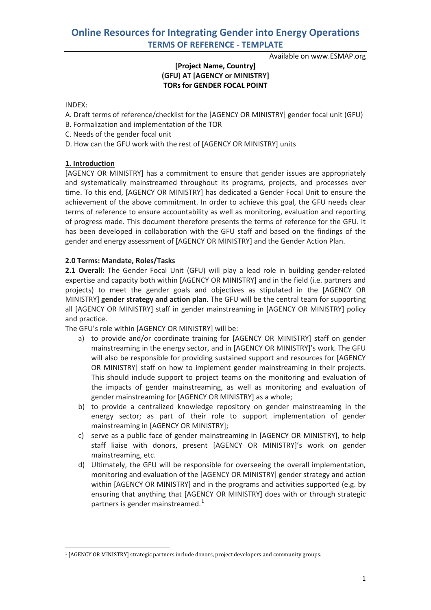Available on www.ESMAP.org

## **[Project Name, Country] (GFU) AT [AGENCY or MINISTRY] TORs for GENDER FOCAL POINT**

#### INDEX:

- A. Draft terms of reference/checklist for the [AGENCY OR MINISTRY] gender focal unit (GFU)
- B. Formalization and implementation of the TOR
- C. Needs of the gender focal unit
- D. How can the GFU work with the rest of [AGENCY OR MINISTRY] units

## **1. Introduction**

[AGENCY OR MINISTRY] has a commitment to ensure that gender issues are appropriately and systematically mainstreamed throughout its programs, projects, and processes over time. To this end, [AGENCY OR MINISTRY] has dedicated a Gender Focal Unit to ensure the achievement of the above commitment. In order to achieve this goal, the GFU needs clear terms of reference to ensure accountability as well as monitoring, evaluation and reporting of progress made. This document therefore presents the terms of reference for the GFU. It has been developed in collaboration with the GFU staff and based on the findings of the gender and energy assessment of [AGENCY OR MINISTRY] and the Gender Action Plan.

## **2.0 Terms: Mandate, Roles/Tasks**

**2.1 Overall:** The Gender Focal Unit (GFU) will play a lead role in building gender-related expertise and capacity both within [AGENCY OR MINISTRY] and in the field (i.e. partners and projects) to meet the gender goals and objectives as stipulated in the [AGENCY OR MINISTRY] **gender strategy and action plan**. The GFU will be the central team for supporting all [AGENCY OR MINISTRY] staff in gender mainstreaming in [AGENCY OR MINISTRY] policy and practice.

The GFU's role within [AGENCY OR MINISTRY] will be:

- a) to provide and/or coordinate training for [AGENCY OR MINISTRY] staff on gender mainstreaming in the energy sector, and in [AGENCY OR MINISTRY]'s work. The GFU will also be responsible for providing sustained support and resources for [AGENCY OR MINISTRY] staff on how to implement gender mainstreaming in their projects. This should include support to project teams on the monitoring and evaluation of the impacts of gender mainstreaming, as well as monitoring and evaluation of gender mainstreaming for [AGENCY OR MINISTRY] as a whole;
- b) to provide a centralized knowledge repository on gender mainstreaming in the energy sector; as part of their role to support implementation of gender mainstreaming in [AGENCY OR MINISTRY];
- c) serve as a public face of gender mainstreaming in [AGENCY OR MINISTRY], to help staff liaise with donors, present [AGENCY OR MINISTRY]'s work on gender mainstreaming, etc.
- d) Ultimately, the GFU will be responsible for overseeing the overall implementation, monitoring and evaluation of the [AGENCY OR MINISTRY] gender strategy and action within [AGENCY OR MINISTRY] and in the programs and activities supported (e.g. by ensuring that anything that [AGENCY OR MINISTRY] does with or through strategic partners is gender mainstreamed.<sup>[1](#page-0-0)</sup>

<span id="page-0-0"></span> <sup>1</sup> [AGENCY OR MINISTRY] strategic partners include donors, project developers and community groups.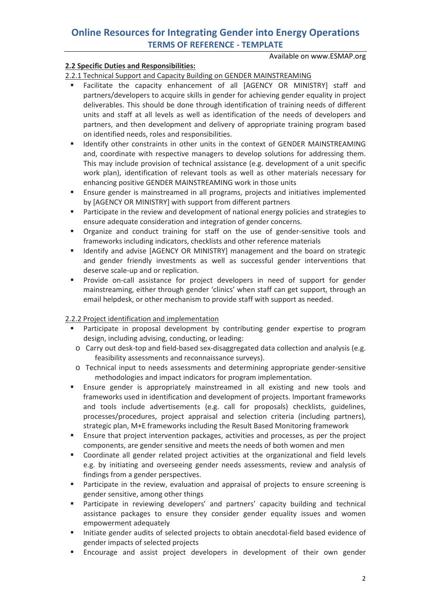Available on www.ESMAP.org

## **2.2 Specific Duties and Responsibilities:**

2.2.1 Technical Support and Capacity Building on GENDER MAINSTREAMING

- Facilitate the capacity enhancement of all [AGENCY OR MINISTRY] staff and partners/developers to acquire skills in gender for achieving gender equality in project deliverables. This should be done through identification of training needs of different units and staff at all levels as well as identification of the needs of developers and partners, and then development and delivery of appropriate training program based on identified needs, roles and responsibilities.
- **IDENTIFY OTHER CONSTRAINTS IN OTHER IN THE CONTEXT OF CONSTRAINS FOR ALL THER** MAINSTREAMING and, coordinate with respective managers to develop solutions for addressing them. This may include provision of technical assistance (e.g. development of a unit specific work plan), identification of relevant tools as well as other materials necessary for enhancing positive GENDER MAINSTREAMING work in those units
- Ensure gender is mainstreamed in all programs, projects and initiatives implemented by [AGENCY OR MINISTRY] with support from different partners
- **Participate in the review and development of national energy policies and strategies to** ensure adequate consideration and integration of gender concerns.
- Organize and conduct training for staff on the use of gender-sensitive tools and frameworks including indicators, checklists and other reference materials
- **If Identify and advise [AGENCY OR MINISTRY] management and the board on strategic** and gender friendly investments as well as successful gender interventions that deserve scale-up and or replication.
- **Provide on-call assistance for project developers in need of support for gender** mainstreaming, either through gender 'clinics' when staff can get support, through an email helpdesk, or other mechanism to provide staff with support as needed.

## 2.2.2 Project identification and implementation

- **Participate in proposal development by contributing gender expertise to program** design, including advising, conducting, or leading:
- o Carry out desk-top and field-based sex-disaggregated data collection and analysis (e.g. feasibility assessments and reconnaissance surveys).
- o Technical input to needs assessments and determining appropriate gender-sensitive methodologies and impact indicators for program implementation.
- Ensure gender is appropriately mainstreamed in all existing and new tools and frameworks used in identification and development of projects. Important frameworks and tools include advertisements (e.g. call for proposals) checklists, guidelines, processes/procedures, project appraisal and selection criteria (including partners), strategic plan, M+E frameworks including the Result Based Monitoring framework
- Ensure that project intervention packages, activities and processes, as per the project components, are gender sensitive and meets the needs of both women and men
- Coordinate all gender related project activities at the organizational and field levels e.g. by initiating and overseeing gender needs assessments, review and analysis of findings from a gender perspectives.
- **Participate in the review, evaluation and appraisal of projects to ensure screening is** gender sensitive, among other things
- Participate in reviewing developers' and partners' capacity building and technical assistance packages to ensure they consider gender equality issues and women empowerment adequately
- Initiate gender audits of selected projects to obtain anecdotal-field based evidence of gender impacts of selected projects
- Encourage and assist project developers in development of their own gender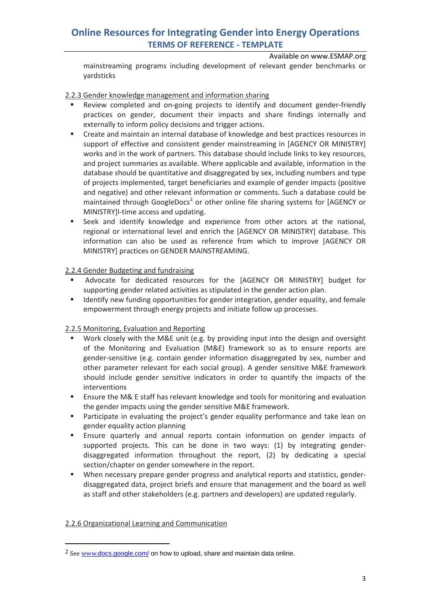Available on www.ESMAP.org

mainstreaming programs including development of relevant gender benchmarks or yardsticks

### 2.2.3 Gender knowledge management and information sharing

- Review completed and on-going projects to identify and document gender-friendly practices on gender, document their impacts and share findings internally and externally to inform policy decisions and trigger actions.
- **EXECT** Create and maintain an internal database of knowledge and best practices resources in support of effective and consistent gender mainstreaming in [AGENCY OR MINISTRY] works and in the work of partners. This database should include links to key resources, and project summaries as available. Where applicable and available, information in the database should be quantitative and disaggregated by sex, including numbers and type of projects implemented, target beneficiaries and example of gender impacts (positive and negative) and other relevant information or comments. Such a database could be maintained through GoogleDocs<sup>[2](#page-2-0)</sup> or other online file sharing systems for [AGENCY or MINISTRY]l-time access and updating.
- **Seek and identify knowledge and experience from other actors at the national,** regional or international level and enrich the [AGENCY OR MINISTRY] database. This information can also be used as reference from which to improve [AGENCY OR MINISTRY] practices on GENDER MAINSTREAMING.

### 2.2.4 Gender Budgeting and fundraising

- Advocate for dedicated resources for the [AGENCY OR MINISTRY] budget for supporting gender related activities as stipulated in the gender action plan.
- **IDENTIFY 19 IDENTIFY 10 IDENTIFY 10 IDENTIFY 10 IDENTIFY 10 IDENTIFY 10 IDENTIFY 10 IDENTIFY 10 IDENTIFY 10 IDENTIFY 10 IDENTIFY 10 IDENTIFY 10 IDENTIFY 10 IDENTIFY 10 IDENTIFY 10 IDENTIFY 10 IDENTIFY 10 IDENTIFY 10 IDENT** empowerment through energy projects and initiate follow up processes.

## 2.2.5 Monitoring, Evaluation and Reporting

- Work closely with the M&E unit (e.g. by providing input into the design and oversight of the Monitoring and Evaluation (M&E) framework so as to ensure reports are gender-sensitive (e.g. contain gender information disaggregated by sex, number and other parameter relevant for each social group). A gender sensitive M&E framework should include gender sensitive indicators in order to quantify the impacts of the interventions
- Ensure the M& E staff has relevant knowledge and tools for monitoring and evaluation the gender impacts using the gender sensitive M&E framework.
- **Participate in evaluating the project's gender equality performance and take lean on** gender equality action planning
- Ensure quarterly and annual reports contain information on gender impacts of supported projects. This can be done in two ways: (1) by integrating genderdisaggregated information throughout the report, (2) by dedicating a special section/chapter on gender somewhere in the report.
- When necessary prepare gender progress and analytical reports and statistics, genderdisaggregated data, project briefs and ensure that management and the board as well as staff and other stakeholders (e.g. partners and developers) are updated regularly.

## 2.2.6 Organizational Learning and Communication

<span id="page-2-0"></span><sup>&</sup>lt;sup>2</sup> See www.[docs.google.com/](http://www.docs.google.com/) on how to upload, share and maintain data online.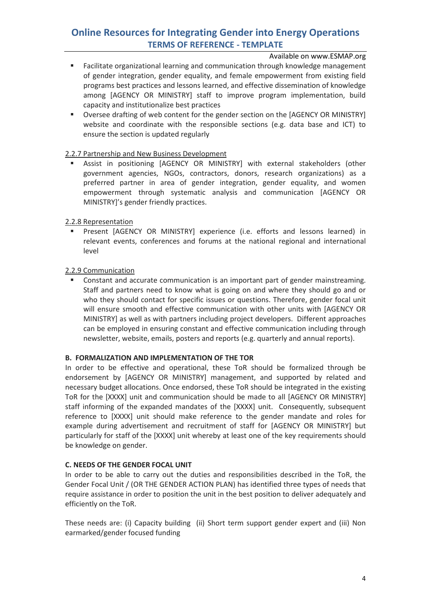Available on www.ESMAP.org

- **Facilitate organizational learning and communication through knowledge management** of gender integration, gender equality, and female empowerment from existing field programs best practices and lessons learned, and effective dissemination of knowledge among [AGENCY OR MINISTRY] staff to improve program implementation, build capacity and institutionalize best practices
- **Diversee drafting of web content for the gender section on the [AGENCY OR MINISTRY]** website and coordinate with the responsible sections (e.g. data base and ICT) to ensure the section is updated regularly

### 2.2.7 Partnership and New Business Development

 Assist in positioning [AGENCY OR MINISTRY] with external stakeholders (other government agencies, NGOs, contractors, donors, research organizations) as a preferred partner in area of gender integration, gender equality, and women empowerment through systematic analysis and communication [AGENCY OR MINISTRY]'s gender friendly practices.

### 2.2.8 Representation

 Present [AGENCY OR MINISTRY] experience (i.e. efforts and lessons learned) in relevant events, conferences and forums at the national regional and international level

### 2.2.9 Communication

**Constant and accurate communication is an important part of gender mainstreaming.** Staff and partners need to know what is going on and where they should go and or who they should contact for specific issues or questions. Therefore, gender focal unit will ensure smooth and effective communication with other units with [AGENCY OR MINISTRY] as well as with partners including project developers. Different approaches can be employed in ensuring constant and effective communication including through newsletter, website, emails, posters and reports (e.g. quarterly and annual reports).

#### **B. FORMALIZATION AND IMPLEMENTATION OF THE TOR**

In order to be effective and operational, these ToR should be formalized through be endorsement by [AGENCY OR MINISTRY] management, and supported by related and necessary budget allocations. Once endorsed, these ToR should be integrated in the existing ToR for the [XXXX] unit and communication should be made to all [AGENCY OR MINISTRY] staff informing of the expanded mandates of the [XXXX] unit. Consequently, subsequent reference to [XXXX] unit should make reference to the gender mandate and roles for example during advertisement and recruitment of staff for [AGENCY OR MINISTRY] but particularly for staff of the [XXXX] unit whereby at least one of the key requirements should be knowledge on gender.

## **C. NEEDS OF THE GENDER FOCAL UNIT**

In order to be able to carry out the duties and responsibilities described in the ToR, the Gender Focal Unit / (OR THE GENDER ACTION PLAN) has identified three types of needs that require assistance in order to position the unit in the best position to deliver adequately and efficiently on the ToR.

These needs are: (i) Capacity building (ii) Short term support gender expert and (iii) Non earmarked/gender focused funding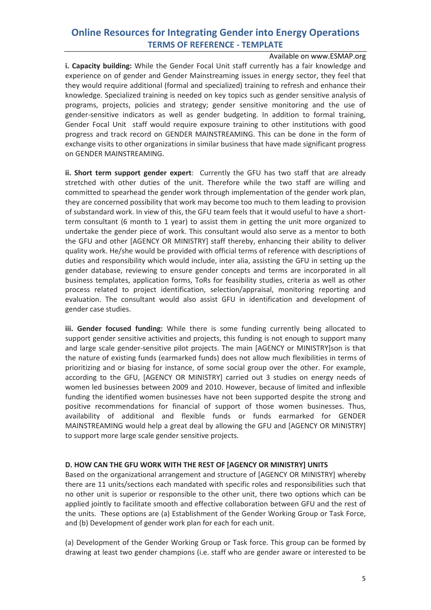Available on www.ESMAP.org

**i. Capacity building:** While the Gender Focal Unit staff currently has a fair knowledge and experience on of gender and Gender Mainstreaming issues in energy sector, they feel that they would require additional (formal and specialized) training to refresh and enhance their knowledge. Specialized training is needed on key topics such as gender sensitive analysis of programs, projects, policies and strategy; gender sensitive monitoring and the use of gender-sensitive indicators as well as gender budgeting. In addition to formal training, Gender Focal Unit staff would require exposure training to other institutions with good progress and track record on GENDER MAINSTREAMING. This can be done in the form of exchange visits to other organizations in similar business that have made significant progress on GENDER MAINSTREAMING.

**ii. Short term support gender expert**: Currently the GFU has two staff that are already stretched with other duties of the unit. Therefore while the two staff are willing and committed to spearhead the gender work through implementation of the gender work plan, they are concerned possibility that work may become too much to them leading to provision of substandard work. In view of this, the GFU team feels that it would useful to have a shortterm consultant (6 month to 1 year) to assist them in getting the unit more organized to undertake the gender piece of work. This consultant would also serve as a mentor to both the GFU and other [AGENCY OR MINISTRY] staff thereby, enhancing their ability to deliver quality work. He/she would be provided with official terms of reference with descriptions of duties and responsibility which would include, inter alia, assisting the GFU in setting up the gender database, reviewing to ensure gender concepts and terms are incorporated in all business templates, application forms, ToRs for feasibility studies, criteria as well as other process related to project identification, selection/appraisal, monitoring reporting and evaluation. The consultant would also assist GFU in identification and development of gender case studies.

**iii. Gender focused funding:** While there is some funding currently being allocated to support gender sensitive activities and projects, this funding is not enough to support many and large scale gender-sensitive pilot projects. The main [AGENCY or MINISTRY]son is that the nature of existing funds (earmarked funds) does not allow much flexibilities in terms of prioritizing and or biasing for instance, of some social group over the other. For example, according to the GFU, [AGENCY OR MINISTRY] carried out 3 studies on energy needs of women led businesses between 2009 and 2010. However, because of limited and inflexible funding the identified women businesses have not been supported despite the strong and positive recommendations for financial of support of those women businesses. Thus, availability of additional and flexible funds or funds earmarked for GENDER MAINSTREAMING would help a great deal by allowing the GFU and [AGENCY OR MINISTRY] to support more large scale gender sensitive projects.

### **D. HOW CAN THE GFU WORK WITH THE REST OF [AGENCY OR MINISTRY] UNITS**

Based on the organizational arrangement and structure of [AGENCY OR MINISTRY] whereby there are 11 units/sections each mandated with specific roles and responsibilities such that no other unit is superior or responsible to the other unit, there two options which can be applied jointly to facilitate smooth and effective collaboration between GFU and the rest of the units. These options are (a) Establishment of the Gender Working Group or Task Force, and (b) Development of gender work plan for each for each unit.

(a) Development of the Gender Working Group or Task force. This group can be formed by drawing at least two gender champions (i.e. staff who are gender aware or interested to be